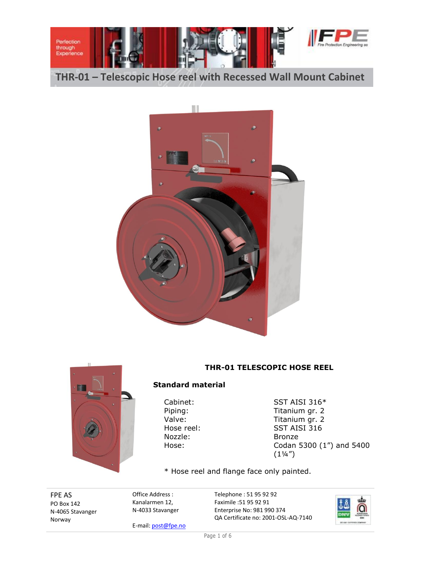





### **THR-01 TELESCOPIC HOSE REEL**

## **Standard material**

Nozzle: Bronze

Cabinet: SST AISI 316\* Piping: Titanium gr. 2<br>Valve: Titanium gr. 2 Titanium gr. 2 Hose reel: SST AISI 316 Hose: Codan 5300 (1") and 5400 (1¼")

\* Hose reel and flange face only painted.

FPE AS PO Box 142 N-4065 Stavanger Norway

Office Address : Kanalarmen 12, N-4033 Stavanger

E-mail: post@fpe.no

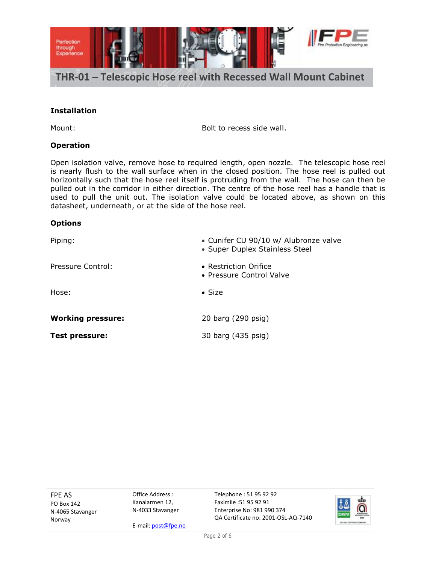

# **Installation**

Mount: Mount: Example 2012 11: Bolt to recess side wall.

### **Operation**

Open isolation valve, remove hose to required length, open nozzle. The telescopic hose reel is nearly flush to the wall surface when in the closed position. The hose reel is pulled out horizontally such that the hose reel itself is protruding from the wall. The hose can then be pulled out in the corridor in either direction. The centre of the hose reel has a handle that is used to pull the unit out. The isolation valve could be located above, as shown on this datasheet, underneath, or at the side of the hose reel.

### **Options**

| Piping:                  | • Cunifer CU 90/10 w/ Alubronze valve<br>• Super Duplex Stainless Steel |  |
|--------------------------|-------------------------------------------------------------------------|--|
| Pressure Control:        | • Restriction Orifice<br>• Pressure Control Valve                       |  |
| Hose:                    | $\bullet$ Size                                                          |  |
| <b>Working pressure:</b> | 20 barg (290 psig)                                                      |  |
| Test pressure:           | 30 barg (435 psig)                                                      |  |

FPE AS PO Box 142 N-4065 Stavanger Norway

Office Address : Kanalarmen 12, N-4033 Stavanger

E-mail: post@fpe.no

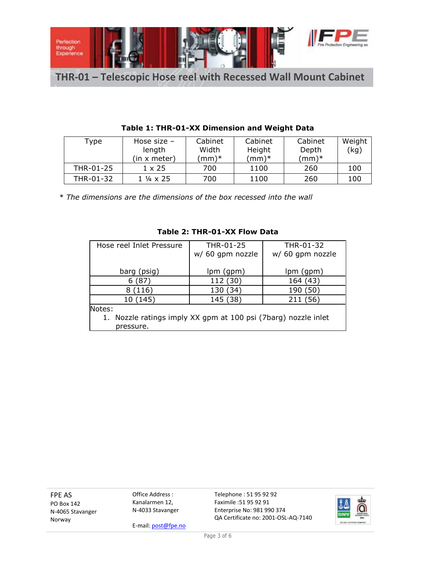

| Type      | Hose size $-$<br>length<br>(in x meter) | Cabinet<br>Width<br>(mm)* | Cabinet<br>Height<br>$(mm)*$ | Cabinet<br>Depth<br>$(mm)*$ | Weight<br>(kg) |
|-----------|-----------------------------------------|---------------------------|------------------------------|-----------------------------|----------------|
| THR-01-25 | $1 \times 25$                           | 700                       | 1100                         | 260                         | 100            |
| THR-01-32 | $1\frac{1}{4} \times 25$                | 700                       | 1100                         | 260                         | 100            |

#### **Table 1: THR-01-XX Dimension and Weight Data**

\* *The dimensions are the dimensions of the box recessed into the wall*

| Hose reel Inlet Pressure                                       | THR-01-25        | THR-01-32        |  |  |
|----------------------------------------------------------------|------------------|------------------|--|--|
|                                                                | w/ 60 gpm nozzle | w/ 60 gpm nozzle |  |  |
|                                                                |                  |                  |  |  |
|                                                                |                  |                  |  |  |
| barg (psig)                                                    | lpm (gpm)        | lpm (gpm)        |  |  |
| 6 (87                                                          | 112 (30)         | 164 (43)         |  |  |
|                                                                |                  |                  |  |  |
| (116)                                                          | 130 (34)         | (50)<br>190      |  |  |
| 10 (145)                                                       | 145 (38)         | 211 (56)         |  |  |
| Notes:                                                         |                  |                  |  |  |
| 1. Nozzle ratings imply XX gpm at 100 psi (7barg) nozzle inlet |                  |                  |  |  |
| pressure.                                                      |                  |                  |  |  |
|                                                                |                  |                  |  |  |

#### **Table 2: THR-01-XX Flow Data**

FPE AS PO Box 142 N-4065 Stavanger Norway

Office Address : Kanalarmen 12, N-4033 Stavanger Telephone : 51 95 92 92 Faximile :51 95 92 91 Enterprise No: 981 990 374 QA Certificate no: 2001-OSL-AQ-7140



E-mail: post@fpe.no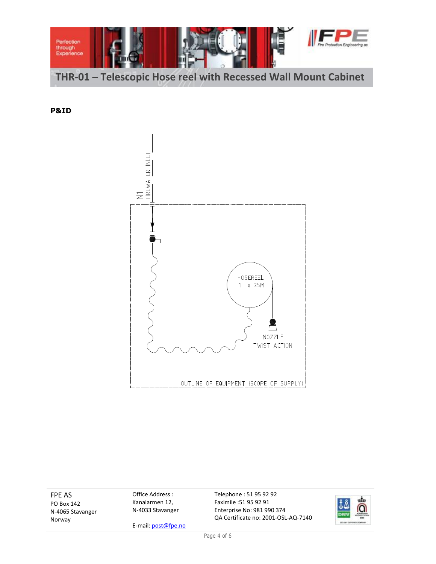

**P&ID**



FPE AS PO Box 142 N-4065 Stavanger Norway

Office Address : Kanalarmen 12, N-4033 Stavanger

E-mail: post@fpe.no

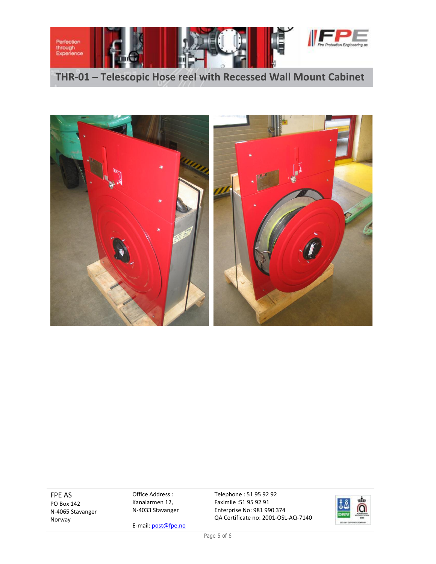



FPE AS PO Box 142 N-4065 Stavanger Norway

Office Address : Kanalarmen 12, N-4033 Stavanger

E-mail: post@fpe.no